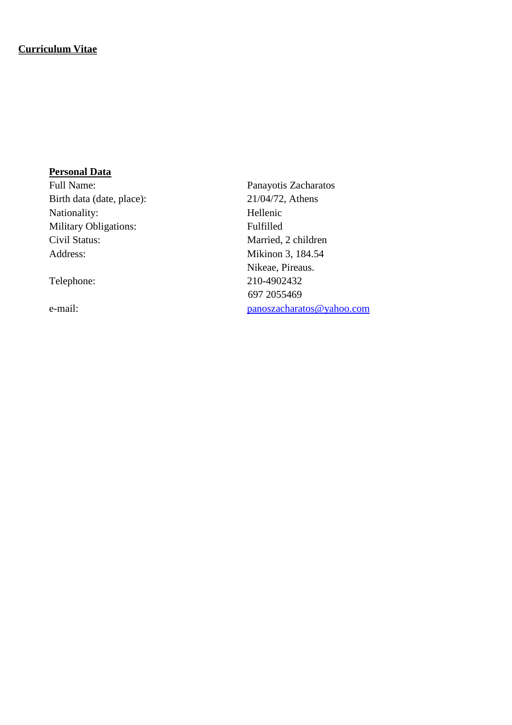#### **Curriculum Vitae**

#### **Personal Data**

Birth data (date, place): 21/04/72, Athens Nationality: Hellenic Military Obligations: Fulfilled Civil Status: Married, 2 children Address: Mikinon 3, 184.54

Full Name: Panayotis Zacharatos Nikeae, Pireaus. Telephone: 210-4902432 697 2055469 e-mail: [panoszacharatos@yahoo.com](mailto:panoszacharatos@yahoo.com)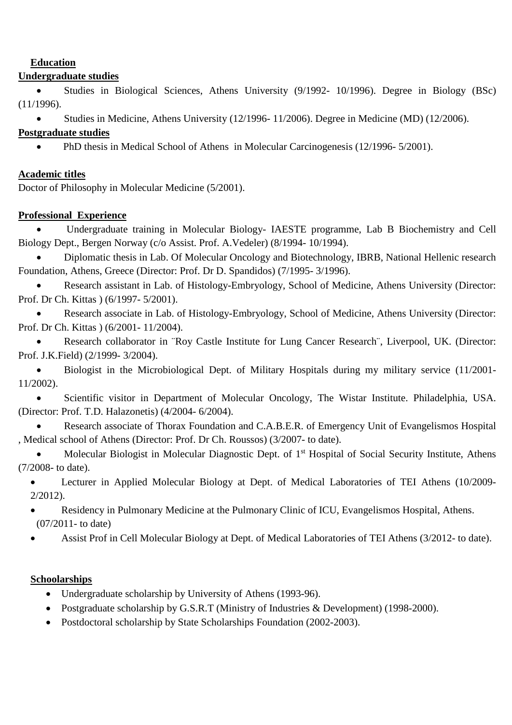### **Education**

### **Undergraduate studies**

• Studies in Biological Sciences, Athens University (9/1992- 10/1996). Degree in Biology (BSc) (11/1996).

• Studies in Medicine, Athens University (12/1996- 11/2006). Degree in Medicine (MD) (12/2006).

### **Postgraduate studies**

• PhD thesis in Medical School of Athens in Molecular Carcinogenesis (12/1996-5/2001).

## **Academic titles**

Doctor of Philosophy in Molecular Medicine (5/2001).

## **Professional Experience**

• Undergraduate training in Molecular Biology- IAESTE programme, Lab B Biochemistry and Cell Biology Dept., Bergen Norway (c/o Assist. Prof. A.Vedeler) (8/1994- 10/1994).

• Diplomatic thesis in Lab. Of Molecular Oncology and Biotechnology, IBRB, National Hellenic research Foundation, Athens, Greece (Director: Prof. Dr D. Spandidos) (7/1995- 3/1996).

• Research assistant in Lab. of Histology-Embryology, School of Medicine, Athens University (Director: Prof. Dr Ch. Kittas ) (6/1997- 5/2001).

• Research associate in Lab. of Histology-Embryology, School of Medicine, Athens University (Director: Prof. Dr Ch. Kittas ) (6/2001- 11/2004).

• Research collaborator in ¨Roy Castle Institute for Lung Cancer Research¨, Liverpool, UK. (Director: Prof. J.K.Field) (2/1999- 3/2004).

• Biologist in the Microbiological Dept. of Military Hospitals during my military service (11/2001- 11/2002).

• Scientific visitor in Department of Molecular Oncology, The Wistar Institute. Philadelphia, USA. (Director: Prof. T.D. Halazonetis) (4/2004- 6/2004).

Research associate of Thorax Foundation and C.A.B.E.R. of Emergency Unit of Evangelismos Hospital , Medical school of Athens (Director: Prof. Dr Ch. Roussos) (3/2007- to date).

Molecular Biologist in Molecular Diagnostic Dept. of 1<sup>st</sup> Hospital of Social Security Institute, Athens (7/2008- to date).

• Lecturer in Applied Molecular Biology at Dept. of Medical Laboratories of TEI Athens (10/2009- 2/2012).

- Residency in Pulmonary Medicine at the Pulmonary Clinic of ICU, Evangelismos Hospital, Athens. (07/2011- to date)
- Assist Prof in Cell Molecular Biology at Dept. of Medical Laboratories of TEI Athens (3/2012- to date).

# **Schoolarships**

- Undergraduate scholarship by University of Athens (1993-96).
- Postgraduate scholarship by G.S.R.T (Ministry of Industries & Development) (1998-2000).
- Postdoctoral scholarship by State Scholarships Foundation (2002-2003).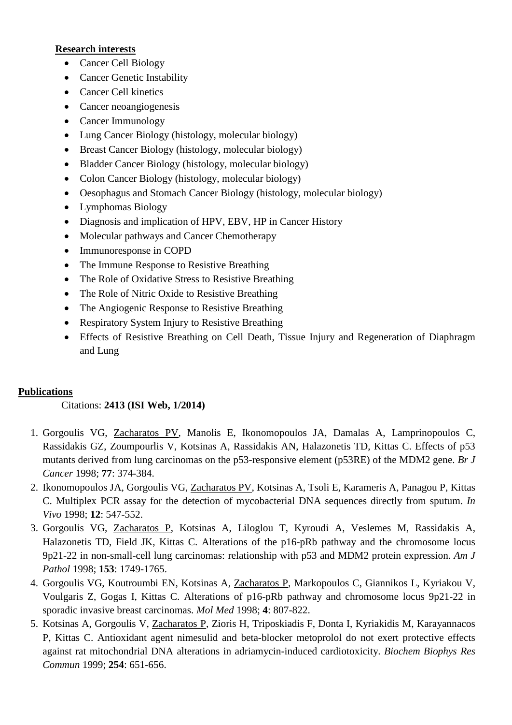#### **Research interests**

- Cancer Cell Biology
- Cancer Genetic Instability
- Cancer Cell kinetics
- Cancer neoangiogenesis
- Cancer Immunology
- Lung Cancer Biology (histology, molecular biology)
- Breast Cancer Biology (histology, molecular biology)
- Bladder Cancer Biology (histology, molecular biology)
- Colon Cancer Biology (histology, molecular biology)
- Oesophagus and Stomach Cancer Biology (histology, molecular biology)
- Lymphomas Biology
- Diagnosis and implication of HPV, EBV, HP in Cancer History
- Molecular pathways and Cancer Chemotherapy
- Immunoresponse in COPD
- The Immune Response to Resistive Breathing
- The Role of Oxidative Stress to Resistive Breathing
- The Role of Nitric Oxide to Resistive Breathing
- The Angiogenic Response to Resistive Breathing
- Respiratory System Injury to Resistive Breathing
- Effects of Resistive Breathing on Cell Death, Tissue Injury and Regeneration of Diaphragm and Lung

### **Publications**

### Citations: **2413 (ISI Web, 1/2014)**

- 1. Gorgoulis VG, Zacharatos PV, Manolis E, Ikonomopoulos JA, Damalas A, Lamprinopoulos C, Rassidakis GZ, Zoumpourlis V, Kotsinas A, Rassidakis AN, Halazonetis TD, Kittas C. Effects of p53 mutants derived from lung carcinomas on the p53-responsive element (p53RE) of the MDM2 gene. *Br J Cancer* 1998; **77**: 374-384.
- 2. Ikonomopoulos JA, Gorgoulis VG, Zacharatos PV, Kotsinas A, Tsoli E, Karameris A, Panagou P, Kittas C. Multiplex PCR assay for the detection of mycobacterial DNA sequences directly from sputum. *In Vivo* 1998; **12**: 547-552.
- 3. Gorgoulis VG, Zacharatos P, Kotsinas A, Liloglou T, Kyroudi A, Veslemes M, Rassidakis A, Halazonetis TD, Field JK, Kittas C. Alterations of the p16-pRb pathway and the chromosome locus 9p21-22 in non-small-cell lung carcinomas: relationship with p53 and MDM2 protein expression. *Am J Pathol* 1998; **153**: 1749-1765.
- 4. Gorgoulis VG, Koutroumbi EN, Kotsinas A, Zacharatos P, Markopoulos C, Giannikos L, Kyriakou V, Voulgaris Z, Gogas I, Kittas C. Alterations of p16-pRb pathway and chromosome locus 9p21-22 in sporadic invasive breast carcinomas. *Mol Med* 1998; **4**: 807-822.
- 5. Kotsinas A, Gorgoulis V, Zacharatos P, Zioris H, Triposkiadis F, Donta I, Kyriakidis M, Karayannacos P, Kittas C. Antioxidant agent nimesulid and beta-blocker metoprolol do not exert protective effects against rat mitochondrial DNA alterations in adriamycin-induced cardiotoxicity. *Biochem Biophys Res Commun* 1999; **254**: 651-656.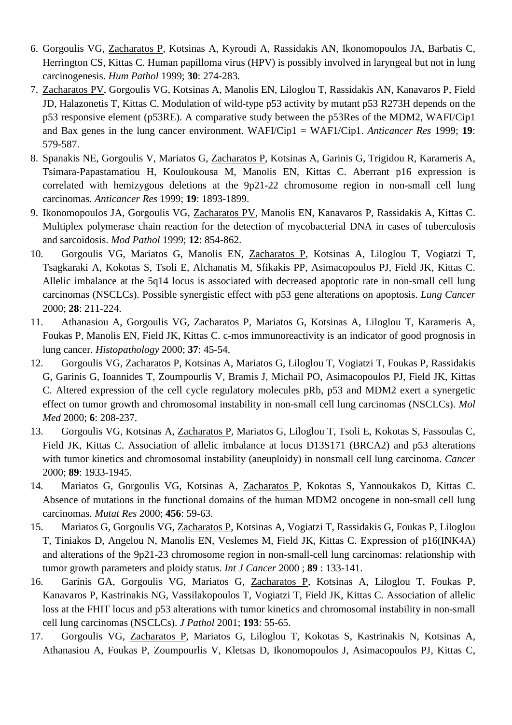- 6. Gorgoulis VG, Zacharatos P, Kotsinas A, Kyroudi A, Rassidakis AN, Ikonomopoulos JA, Barbatis C, Herrington CS, Kittas C. Human papilloma virus (HPV) is possibly involved in laryngeal but not in lung carcinogenesis. *Hum Pathol* 1999; **30**: 274-283.
- 7. Zacharatos PV, Gorgoulis VG, Kotsinas A, Manolis EN, Liloglou T, Rassidakis AN, Kanavaros P, Field JD, Halazonetis T, Kittas C. Modulation of wild-type p53 activity by mutant p53 R273H depends on the p53 responsive element (p53RE). A comparative study between the p53Res of the MDM2, WAFI/Cip1 and Bax genes in the lung cancer environment. WAFI/Cip1 = WAF1/Cip1. *Anticancer Res* 1999; **19**: 579-587.
- 8. Spanakis NE, Gorgoulis V, Mariatos G, Zacharatos P, Kotsinas A, Garinis G, Trigidou R, Karameris A, Tsimara-Papastamatiou H, Kouloukousa M, Manolis EN, Kittas C. Aberrant p16 expression is correlated with hemizygous deletions at the 9p21-22 chromosome region in non-small cell lung carcinomas. *Anticancer Res* 1999; **19**: 1893-1899.
- 9. Ikonomopoulos JA, Gorgoulis VG, Zacharatos PV, Manolis EN, Kanavaros P, Rassidakis A, Kittas C. Multiplex polymerase chain reaction for the detection of mycobacterial DNA in cases of tuberculosis and sarcoidosis. *Mod Pathol* 1999; **12**: 854-862.
- 10. Gorgoulis VG, Mariatos G, Manolis EN, Zacharatos P, Kotsinas A, Liloglou T, Vogiatzi T, Tsagkaraki A, Kokotas S, Tsoli E, Alchanatis M, Sfikakis PP, Asimacopoulos PJ, Field JK, Kittas C. Allelic imbalance at the 5q14 locus is associated with decreased apoptotic rate in non-small cell lung carcinomas (NSCLCs). Possible synergistic effect with p53 gene alterations on apoptosis. *Lung Cancer* 2000; **28**: 211-224.
- 11. Athanasiou A, Gorgoulis VG, Zacharatos P, Mariatos G, Kotsinas A, Liloglou T, Karameris A, Foukas P, Manolis EN, Field JK, Kittas C. c-mos immunoreactivity is an indicator of good prognosis in lung cancer. *Histopathology* 2000; **37**: 45-54.
- 12. Gorgoulis VG, Zacharatos P, Kotsinas A, Mariatos G, Liloglou T, Vogiatzi T, Foukas P, Rassidakis G, Garinis G, Ioannides T, Zoumpourlis V, Bramis J, Michail PO, Asimacopoulos PJ, Field JK, Kittas C. Altered expression of the cell cycle regulatory molecules pRb, p53 and MDM2 exert a synergetic effect on tumor growth and chromosomal instability in non-small cell lung carcinomas (NSCLCs). *Mol Med* 2000; **6**: 208-237.
- 13. Gorgoulis VG, Kotsinas A, Zacharatos P, Mariatos G, Liloglou T, Tsoli E, Kokotas S, Fassoulas C, Field JK, Kittas C. Association of allelic imbalance at locus D13S171 (BRCA2) and p53 alterations with tumor kinetics and chromosomal instability (aneuploidy) in nonsmall cell lung carcinoma. *Cancer* 2000; **89**: 1933-1945.
- 14. Mariatos G, Gorgoulis VG, Kotsinas A, Zacharatos P, Kokotas S, Yannoukakos D, Kittas C. Absence of mutations in the functional domains of the human MDM2 oncogene in non-small cell lung carcinomas. *Mutat Res* 2000; **456**: 59-63.
- 15. Mariatos G, Gorgoulis VG, Zacharatos P, Kotsinas A, Vogiatzi T, Rassidakis G, Foukas P, Liloglou T, Tiniakos D, Angelou N, Manolis EN, Veslemes M, Field JK, Kittas C. Expression of p16(INK4A) and alterations of the 9p21-23 chromosome region in non-small-cell lung carcinomas: relationship with tumor growth parameters and ploidy status. *Int J Cancer* 2000 ; **89** : 133-141.
- 16. Garinis GA, Gorgoulis VG, Mariatos G, Zacharatos P, Kotsinas A, Liloglou T, Foukas P, Kanavaros P, Kastrinakis NG, Vassilakopoulos T, Vogiatzi T, Field JK, Kittas C. Association of allelic loss at the FHIT locus and p53 alterations with tumor kinetics and chromosomal instability in non-small cell lung carcinomas (NSCLCs). *J Pathol* 2001; **193**: 55-65.
- 17. Gorgoulis VG, Zacharatos P, Mariatos G, Liloglou T, Kokotas S, Kastrinakis N, Kotsinas A, Athanasiou A, Foukas P, Zoumpourlis V, Kletsas D, Ikonomopoulos J, Asimacopoulos PJ, Kittas C,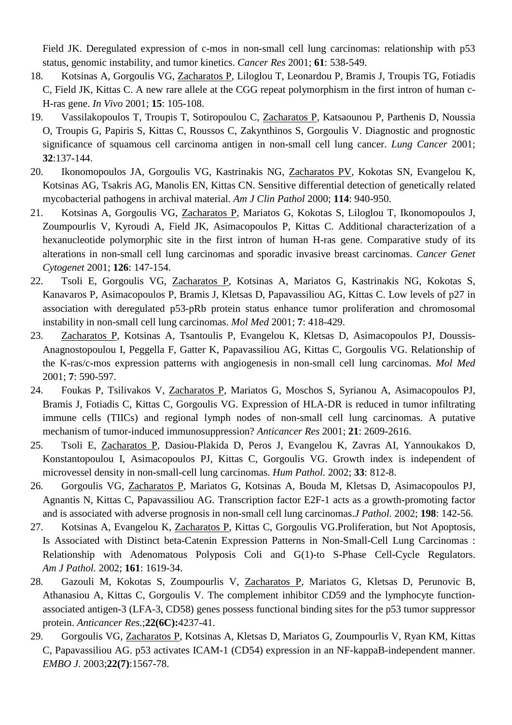Field JK. Deregulated expression of c-mos in non-small cell lung carcinomas: relationship with p53 status, genomic instability, and tumor kinetics. *Cancer Res* 2001; **61**: 538-549.

- 18. Kotsinas A, Gorgoulis VG, Zacharatos P, Liloglou T, Leonardou P, Bramis J, Troupis TG, Fotiadis C, Field JK, Kittas C. A new rare allele at the CGG repeat polymorphism in the first intron of human c-H-ras gene. *In Vivo* 2001; **15**: 105-108.
- 19. Vassilakopoulos T, Troupis T, Sotiropoulou C, Zacharatos P, Katsaounou P, Parthenis D, Noussia O, Troupis G, Papiris S, Kittas C, Roussos C, Zakynthinos S, Gorgoulis V. Diagnostic and prognostic significance of squamous cell carcinoma antigen in non-small cell lung cancer. *Lung Cancer* 2001; **32**:137-144.
- 20. Ikonomopoulos JA, Gorgoulis VG, Kastrinakis NG, Zacharatos PV, Kokotas SN, Evangelou K, Kotsinas AG, Tsakris AG, Manolis EN, Kittas CN. Sensitive differential detection of genetically related mycobacterial pathogens in archival material. *Am J Clin Pathol* 2000; **114**: 940-950.
- 21. Kotsinas A, Gorgoulis VG, Zacharatos P, Mariatos G, Kokotas S, Liloglou T, Ikonomopoulos J, Zoumpourlis V, Kyroudi A, Field JK, Asimacopoulos P, Kittas C. Additional characterization of a hexanucleotide polymorphic site in the first intron of human H-ras gene. Comparative study of its alterations in non-small cell lung carcinomas and sporadic invasive breast carcinomas. *Cancer Genet Cytogenet* 2001; **126**: 147-154.
- 22. Tsoli E, Gorgoulis VG, Zacharatos P, Kotsinas A, Mariatos G, Kastrinakis NG, Kokotas S, Kanavaros P, Asimacopoulos P, Bramis J, Kletsas D, Papavassiliou AG, Kittas C. Low levels of p27 in association with deregulated p53-pRb protein status enhance tumor proliferation and chromosomal instability in non-small cell lung carcinomas. *Mol Med* 2001; **7**: 418-429.
- 23. Zacharatos P, Kotsinas A, Tsantoulis P, Evangelou K, Kletsas D, Asimacopoulos PJ, Doussis-Anagnostopoulou I, Peggella F, Gatter K, Papavassiliou AG, Kittas C, Gorgoulis VG. Relationship of the K-ras/c-mos expression patterns with angiogenesis in non-small cell lung carcinomas. *Mol Med* 2001; **7**: 590-597.
- 24. Foukas P, Tsilivakos V, Zacharatos P, Mariatos G, Moschos S, Syrianou A, Asimacopoulos PJ, Bramis J, Fotiadis C, Kittas C, Gorgoulis VG. Expression of HLA-DR is reduced in tumor infiltrating immune cells (TIICs) and regional lymph nodes of non-small cell lung carcinomas. A putative mechanism of tumor-induced immunosuppression? *Anticancer Res* 2001; **21**: 2609-2616.
- 25. Tsoli E, Zacharatos P, Dasiou-Plakida D, Peros J, Evangelou K, Zavras AI, Yannoukakos D, Konstantopoulou I, Asimacopoulos PJ, Kittas C, Gorgoulis VG. Growth index is independent of microvessel density in non-small-cell lung carcinomas. *Hum Pathol.* 2002; **33**: 812-8.
- 26. Gorgoulis VG, Zacharatos P, Mariatos G, Kotsinas A, Bouda M, Kletsas D, Asimacopoulos PJ, Agnantis N, Kittas C, Papavassiliou AG. Transcription factor E2F-1 acts as a growth-promoting factor and is associated with adverse prognosis in non-small cell lung carcinomas.*J Pathol.* 2002; **198**: 142-56.
- 27. Kotsinas A, Evangelou K, Zacharatos P, Kittas C, Gorgoulis VG.Proliferation, but Not Apoptosis, Is Associated with Distinct beta-Catenin Expression Patterns in Non-Small-Cell Lung Carcinomas : Relationship with Adenomatous Polyposis Coli and G(1)-to S-Phase Cell-Cycle Regulators. *Am J Pathol.* 2002; **161**: 1619-34.
- 28. Gazouli M, Kokotas S, Zoumpourlis V, Zacharatos P, Mariatos G, Kletsas D, Perunovic B, Athanasiou A, Kittas C, Gorgoulis V. The complement inhibitor CD59 and the lymphocyte functionassociated antigen-3 (LFA-3, CD58) genes possess functional binding sites for the p53 tumor suppressor protein. *Anticancer Res.*;**22(6C):**4237-41.
- 29. Gorgoulis VG, Zacharatos P, Kotsinas A, Kletsas D, Mariatos G, Zoumpourlis V, Ryan KM, Kittas C, Papavassiliou AG. p53 activates ICAM-1 (CD54) expression in an NF-kappaB-independent manner. *EMBO J.* 2003;**22(7)**:1567-78.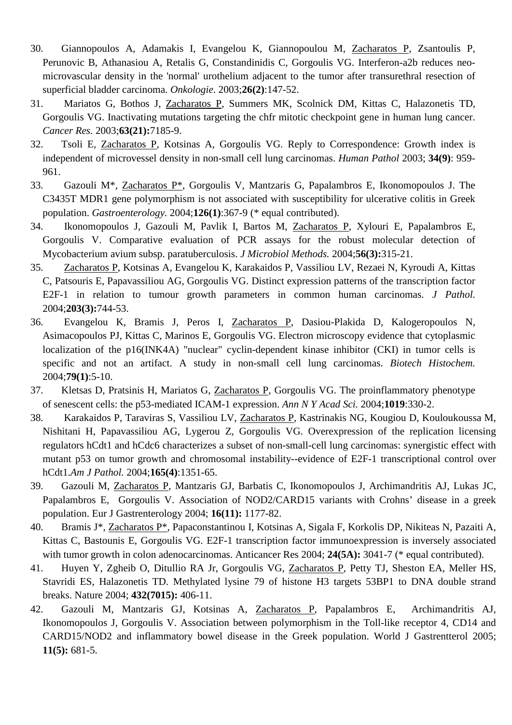- 30. Giannopoulos A, Adamakis I, Evangelou K, Giannopoulou M, Zacharatos P, Zsantoulis P, Perunovic B, Athanasiou A, Retalis G, Constandinidis C, Gorgoulis VG. Interferon-a2b reduces neomicrovascular density in the 'normal' urothelium adjacent to the tumor after transurethral resection of superficial bladder carcinoma. *Onkologie*. 2003;**26(2)**:147-52.
- 31. Mariatos G, Bothos J, Zacharatos P, Summers MK, Scolnick DM, Kittas C, Halazonetis TD, Gorgoulis VG. Inactivating mutations targeting the chfr mitotic checkpoint gene in human lung cancer. *Cancer Res.* 2003;**63(21):**7185-9.
- 32. Tsoli E, Zacharatos P, Kotsinas A, Gorgoulis VG. Reply to Correspondence: Growth index is independent of microvessel density in non-small cell lung carcinomas. *Human Pathol* 2003; **34(9)**: 959- 961.
- 33. Gazouli M\*, Zacharatos P\*, Gorgoulis V, Mantzaris G, Papalambros E, Ikonomopoulos J. The C3435T MDR1 gene polymorphism is not associated with susceptibility for ulcerative colitis in Greek population. *Gastroenterology.* 2004;**126(1)**:367-9 (\* equal contributed).
- 34. Ikonomopoulos J, Gazouli M, Pavlik I, Bartos M, Zacharatos P, Xylouri E, Papalambros E, Gorgoulis V. Comparative evaluation of PCR assays for the robust molecular detection of Mycobacterium avium subsp. paratuberculosis. *J Microbiol Methods.* 2004;**56(3):**315-21.
- 35. Zacharatos P, Kotsinas A, Evangelou K, Karakaidos P, Vassiliou LV, Rezaei N, Kyroudi A, Kittas C, Patsouris E, Papavassiliou AG, Gorgoulis VG. Distinct expression patterns of the transcription factor E2F-1 in relation to tumour growth parameters in common human carcinomas. *J Pathol.* 2004;**203(3):**744-53.
- 36. Evangelou K, Bramis J, Peros I, Zacharatos P, Dasiou-Plakida D, Kalogeropoulos N, Asimacopoulos PJ, Kittas C, Marinos E, Gorgoulis VG. Electron microscopy evidence that cytoplasmic localization of the p16(INK4A) "nuclear" cyclin-dependent kinase inhibitor (CKI) in tumor cells is specific and not an artifact. A study in non-small cell lung carcinomas. *Biotech Histochem.* 2004;**79(1)**:5-10.
- 37. Kletsas D, Pratsinis H, Mariatos G, Zacharatos P, Gorgoulis VG. The proinflammatory phenotype of senescent cells: the p53-mediated ICAM-1 expression. *Ann N Y Acad Sci.* 2004;**1019**:330-2.
- 38. Karakaidos P, Taraviras S, Vassiliou LV, Zacharatos P, Kastrinakis NG, Kougiou D, Kouloukoussa M, Nishitani H, Papavassiliou AG, Lygerou Z, Gorgoulis VG. Overexpression of the replication licensing regulators hCdt1 and hCdc6 characterizes a subset of non-small-cell lung carcinomas: synergistic effect with mutant p53 on tumor growth and chromosomal instability--evidence of E2F-1 transcriptional control over hCdt1.*Am J Pathol.* 2004;**165(4)**:1351-65.
- 39. Gazouli M, Zacharatos P, Mantzaris GJ, Barbatis C, Ikonomopoulos J, Archimandritis AJ, Lukas JC, Papalambros E, Gorgoulis V. Association of NOD2/CARD15 variants with Crohns' disease in a greek population. Eur J Gastrenterology 2004; **16(11):** 1177-82.
- 40. Bramis J\*, Zacharatos P\*, Papaconstantinou I, Kotsinas A, Sigala F, Korkolis DP, Nikiteas N, Pazaiti A, Kittas C, Bastounis E, Gorgoulis VG. E2F-1 transcription factor immunoexpression is inversely associated with tumor growth in colon adenocarcinomas. Anticancer Res 2004; **24(5A):** 3041-7 (\* equal contributed).
- 41. Huyen Y, Zgheib O, Ditullio RA Jr, Gorgoulis VG, Zacharatos P, Petty TJ, Sheston EA, Meller HS, Stavridi ES, Halazonetis TD. Methylated lysine 79 of histone H3 targets 53BP1 to DNA double strand breaks. Nature 2004; **432(7015):** 406-11.
- 42. Gazouli M, Mantzaris GJ, Kotsinas A, Zacharatos P, Papalambros E, Archimandritis AJ, Ikonomopoulos J, Gorgoulis V. Association between polymorphism in the Toll-like receptor 4, CD14 and CARD15/NOD2 and inflammatory bowel disease in the Greek population. World J Gastrentterol 2005; **11(5):** 681-5.